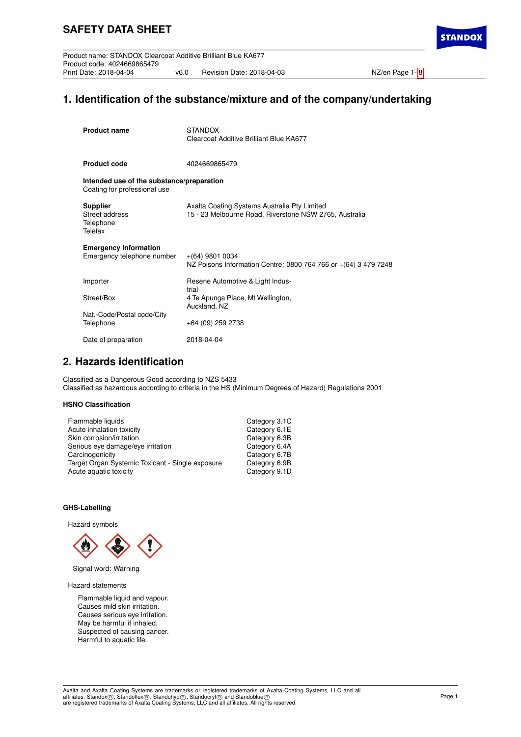**STANDO)** 

# **1. Identification of the substance/mixture and of the company/undertaking**

| <b>Product name</b>                                                       | <b>STANDOX</b><br>Clearcoat Additive Brilliant Blue KA677                                              |
|---------------------------------------------------------------------------|--------------------------------------------------------------------------------------------------------|
| <b>Product code</b>                                                       | 4024669865479                                                                                          |
| Intended use of the substance/preparation<br>Coating for professional use |                                                                                                        |
| <b>Supplier</b><br>Street address<br>Telephone<br>Telefax                 | Axalta Coating Systems Australia Pty Limited<br>15 - 23 Melbourne Road, Riverstone NSW 2765, Australia |
| <b>Emergency Information</b><br>Emergency telephone number                | $+(64)$ 9801 0034<br>NZ Poisons Information Centre: 0800 764 766 or +(64) 3 479 7248                   |
| Importer                                                                  | Resene Automotive & Light Indus-<br>trial                                                              |
| Street/Box                                                                | 4 Te Apunga Place, Mt Wellington,<br>Auckland, NZ                                                      |
| Nat.-Code/Postal code/City<br>Telephone                                   | +64 (09) 259 2738                                                                                      |
| Date of preparation                                                       | 2018-04-04                                                                                             |

# **2. Hazards identification**

Classified as a Dangerous Good according to NZS 5433 Classified as hazardous according to criteria in the HS (Minimum Degrees of Hazard) Regulations 2001

# **HSNO Classification**

| Flammable liquids                                | Category 3.1C |
|--------------------------------------------------|---------------|
| Acute inhalation toxicity                        | Category 6.1E |
| Skin corrosion/irritation                        | Category 6.3B |
| Serious eye damage/eye irritation                | Category 6.4A |
| Carcinogenicity                                  | Category 6.7B |
| Target Organ Systemic Toxicant - Single exposure | Category 6.9B |
| Acute aquatic toxicity                           | Category 9.1D |

# **GHS-Labelling**

Hazard symbols



Signal word: Warning

Hazard statements

Flammable liquid and vapour. Causes mild skin irritation. Causes serious eye irritation. May be harmful if inhaled. Suspected of causing cancer. Harmful to aquatic life.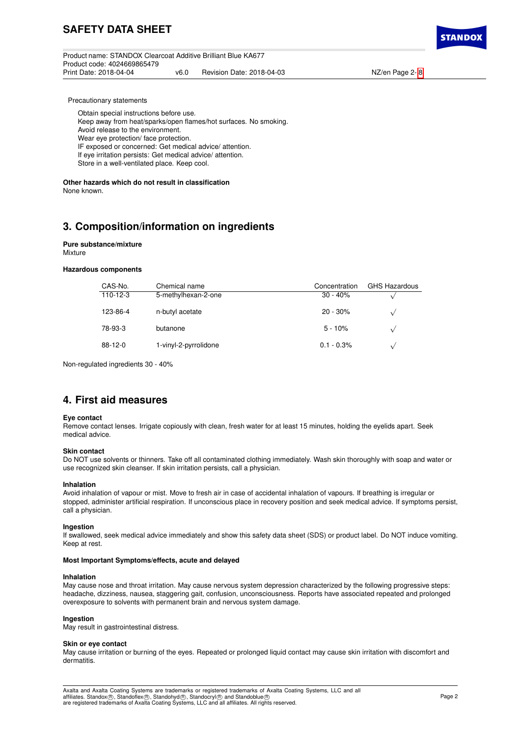Product name: STANDOX Clearcoat Additive Brilliant Blue KA677 Product code: 4024669865479 v6.0 Revision Date: 2018-04-03 NZ/en Page 2- [8](#page-7-0)



Precautionary statements

Obtain special instructions before use.

Keep away from heat/sparks/open flames/hot surfaces. No smoking.

Avoid release to the environment.

Wear eye protection/ face protection.

IF exposed or concerned: Get medical advice/ attention.

If eye irritation persists: Get medical advice/ attention.

Store in a well-ventilated place. Keep cool.

**Other hazards which do not result in classification** None known.

# **3. Composition/information on ingredients**

## **Pure substance/mixture** Mixture

### **Hazardous components**

| CAS-No.   | Chemical name         | Concentration | <b>GHS Hazardous</b> |
|-----------|-----------------------|---------------|----------------------|
| 110-12-3  | 5-methylhexan-2-one   | $30 - 40%$    |                      |
| 123-86-4  | n-butyl acetate       | $20 - 30\%$   |                      |
| 78-93-3   | butanone              | $5 - 10%$     |                      |
| $88-12-0$ | 1-vinyl-2-pyrrolidone | $0.1 - 0.3\%$ |                      |

Non-regulated ingredients 30 - 40%

# **4. First aid measures**

### **Eye contact**

Remove contact lenses. Irrigate copiously with clean, fresh water for at least 15 minutes, holding the eyelids apart. Seek medical advice.

### **Skin contact**

Do NOT use solvents or thinners. Take off all contaminated clothing immediately. Wash skin thoroughly with soap and water or use recognized skin cleanser. If skin irritation persists, call a physician.

### **Inhalation**

Avoid inhalation of vapour or mist. Move to fresh air in case of accidental inhalation of vapours. If breathing is irregular or stopped, administer artificial respiration. If unconscious place in recovery position and seek medical advice. If symptoms persist, call a physician.

### **Ingestion**

If swallowed, seek medical advice immediately and show this safety data sheet (SDS) or product label. Do NOT induce vomiting. Keep at rest.

### **Most Important Symptoms/effects, acute and delayed**

### **Inhalation**

May cause nose and throat irritation. May cause nervous system depression characterized by the following progressive steps: headache, dizziness, nausea, staggering gait, confusion, unconsciousness. Reports have associated repeated and prolonged overexposure to solvents with permanent brain and nervous system damage.

## **Ingestion**

May result in gastrointestinal distress.

### **Skin or eye contact**

May cause irritation or burning of the eyes. Repeated or prolonged liquid contact may cause skin irritation with discomfort and dermatitis.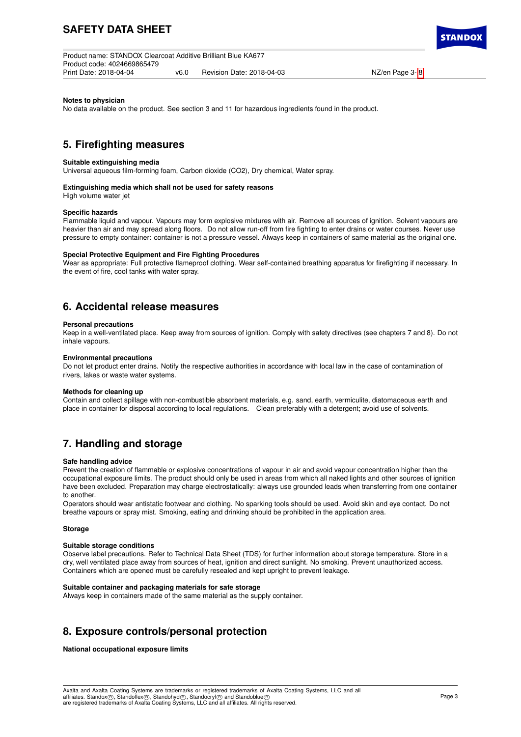Product name: STANDOX Clearcoat Additive Brilliant Blue KA677 Product code: 4024669865479 v6.0 Revision Date: 2018-04-03 NZ/en Page 3- [8](#page-7-0)

**STANDO** 

### **Notes to physician**

No data available on the product. See section 3 and 11 for hazardous ingredients found in the product.

# **5. Firefighting measures**

### **Suitable extinguishing media**

Universal aqueous film-forming foam, Carbon dioxide (CO2), Dry chemical, Water spray.

#### **Extinguishing media which shall not be used for safety reasons**

High volume water jet

#### **Specific hazards**

Flammable liquid and vapour. Vapours may form explosive mixtures with air. Remove all sources of ignition. Solvent vapours are heavier than air and may spread along floors. Do not allow run-off from fire fighting to enter drains or water courses. Never use pressure to empty container: container is not a pressure vessel. Always keep in containers of same material as the original one.

#### **Special Protective Equipment and Fire Fighting Procedures**

Wear as appropriate: Full protective flameproof clothing. Wear self-contained breathing apparatus for firefighting if necessary. In the event of fire, cool tanks with water spray.

# **6. Accidental release measures**

#### **Personal precautions**

Keep in a well-ventilated place. Keep away from sources of ignition. Comply with safety directives (see chapters 7 and 8). Do not inhale vapours.

## **Environmental precautions**

Do not let product enter drains. Notify the respective authorities in accordance with local law in the case of contamination of rivers, lakes or waste water systems.

#### **Methods for cleaning up**

Contain and collect spillage with non-combustible absorbent materials, e.g. sand, earth, vermiculite, diatomaceous earth and place in container for disposal according to local regulations. Clean preferably with a detergent; avoid use of solvents.

# **7. Handling and storage**

#### **Safe handling advice**

Prevent the creation of flammable or explosive concentrations of vapour in air and avoid vapour concentration higher than the occupational exposure limits. The product should only be used in areas from which all naked lights and other sources of ignition have been excluded. Preparation may charge electrostatically: always use grounded leads when transferring from one container to another

Operators should wear antistatic footwear and clothing. No sparking tools should be used. Avoid skin and eye contact. Do not breathe vapours or spray mist. Smoking, eating and drinking should be prohibited in the application area.

#### **Storage**

#### **Suitable storage conditions**

Observe label precautions. Refer to Technical Data Sheet (TDS) for further information about storage temperature. Store in a dry, well ventilated place away from sources of heat, ignition and direct sunlight. No smoking. Prevent unauthorized access. Containers which are opened must be carefully resealed and kept upright to prevent leakage.

### **Suitable container and packaging materials for safe storage**

Always keep in containers made of the same material as the supply container.

# **8. Exposure controls/personal protection**

**National occupational exposure limits**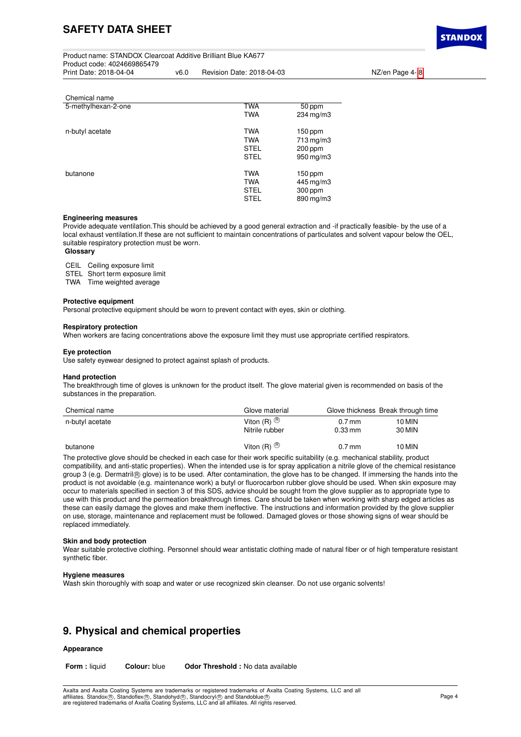Product name: STANDOX Clearcoat Additive Brilliant Blue KA677 Product code: 4024669865479 v6.0 Revision Date: 2018-04-03 NZ/en Page 4- [8](#page-7-0)

**STANDO** 

| Chemical name       |             |           |
|---------------------|-------------|-----------|
| 5-methylhexan-2-one | <b>TWA</b>  | 50 ppm    |
|                     | <b>TWA</b>  | 234 mg/m3 |
| n-butyl acetate     | <b>TWA</b>  | $150$ ppm |
|                     | <b>TWA</b>  | 713 mg/m3 |
|                     | <b>STEL</b> | $200$ ppm |
|                     | <b>STEL</b> | 950 mg/m3 |
| butanone            | <b>TWA</b>  | $150$ ppm |
|                     | <b>TWA</b>  | 445 mg/m3 |
|                     | <b>STEL</b> | 300 ppm   |
|                     | <b>STEL</b> | 890 mg/m3 |

### **Engineering measures**

Provide adequate ventilation.This should be achieved by a good general extraction and -if practically feasible- by the use of a local exhaust ventilation.If these are not sufficient to maintain concentrations of particulates and solvent vapour below the OEL, suitable respiratory protection must be worn.

## **Glossary**

CEIL Ceiling exposure limit

STEL Short term exposure limit

TWA Time weighted average

#### **Protective equipment**

Personal protective equipment should be worn to prevent contact with eyes, skin or clothing.

#### **Respiratory protection**

When workers are facing concentrations above the exposure limit they must use appropriate certified respirators.

### **Eye protection**

Use safety eyewear designed to protect against splash of products.

### **Hand protection**

The breakthrough time of gloves is unknown for the product itself. The glove material given is recommended on basis of the substances in the preparation.

| Chemical name   | Glove material                            |                                  | Glove thickness Break through time |
|-----------------|-------------------------------------------|----------------------------------|------------------------------------|
| n-butyl acetate | Viton $(R)$ $\circledR$<br>Nitrile rubber | $0.7$ mm<br>$0.33 \,\mathrm{mm}$ | 10 MIN<br>30 MIN                   |
| butanone        | Viton $(R)$ $\circledR$                   | $0.7$ mm                         | 10 MIN                             |

The protective glove should be checked in each case for their work specific suitability (e.g. mechanical stability, product compatibility, and anti-static properties). When the intended use is for spray application a nitrile glove of the chemical resistance group 3 (e.g. Dermatril ® glove) is to be used. After contamination, the glove has to be changed. If immersing the hands into the product is not avoidable (e.g. maintenance work) a butyl or fluorocarbon rubber glove should be used. When skin exposure may occur to materials specified in section 3 of this SDS, advice should be sought from the glove supplier as to appropriate type to use with this product and the permeation breakthrough times. Care should be taken when working with sharp edged articles as these can easily damage the gloves and make them ineffective. The instructions and information provided by the glove supplier on use, storage, maintenance and replacement must be followed. Damaged gloves or those showing signs of wear should be replaced immediately.

#### **Skin and body protection**

Wear suitable protective clothing. Personnel should wear antistatic clothing made of natural fiber or of high temperature resistant synthetic fiber.

#### **Hygiene measures**

Wash skin thoroughly with soap and water or use recognized skin cleanser. Do not use organic solvents!

# **9. Physical and chemical properties**

# **Appearance**

**Form :** liquid **Colour:** blue **Odor Threshold :** No data available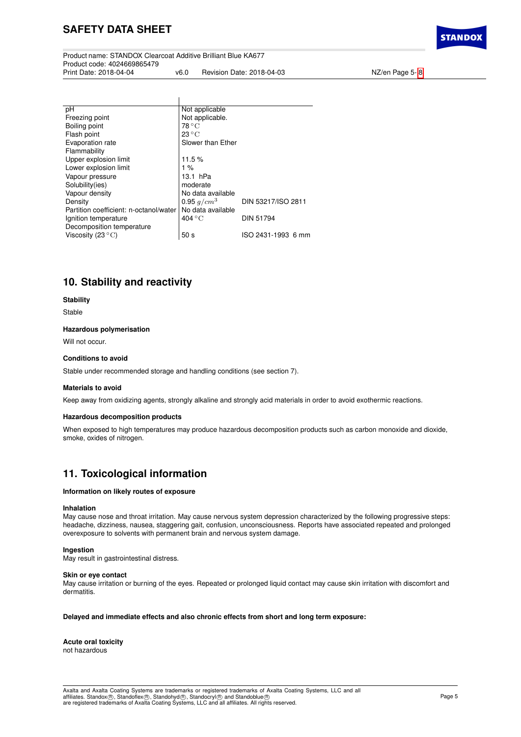Product name: STANDOX Clearcoat Additive Brilliant Blue KA677 Product code: 4024669865479 v6.0 Revision Date: 2018-04-03 NZ/en Page 5- [8](#page-7-0)

 $\overline{1}$ 

**STANDO** 

| рH                                     | Not applicable            |                    |
|----------------------------------------|---------------------------|--------------------|
| Freezing point                         | Not applicable.           |                    |
| Boiling point                          | $78^{\circ}$ C            |                    |
| Flash point                            | $23^{\circ}$ C            |                    |
| Evaporation rate                       | Slower than Ether         |                    |
| Flammability                           |                           |                    |
| Upper explosion limit                  | 11.5%                     |                    |
| Lower explosion limit                  | 1%                        |                    |
| Vapour pressure                        | $13.1$ hPa                |                    |
| Solubility(ies)                        | moderate                  |                    |
| Vapour density                         | No data available         |                    |
| Density                                | 0.95 $q/cm^3$             | DIN 53217/ISO 2811 |
| Partition coefficient: n-octanol/water | No data available         |                    |
| Ignition temperature                   | $404\,^{\circ}\mathrm{C}$ | <b>DIN 51794</b>   |
| Decomposition temperature              |                           |                    |
| Viscosity (23 $\mathrm{^{\circ}C}$ )   | 50 <sub>s</sub>           | ISO 2431-1993 6 mm |
|                                        |                           |                    |

# **10. Stability and reactivity**

### **Stability**

Stable

## **Hazardous polymerisation**

Will not occur.

### **Conditions to avoid**

Stable under recommended storage and handling conditions (see section 7).

### **Materials to avoid**

Keep away from oxidizing agents, strongly alkaline and strongly acid materials in order to avoid exothermic reactions.

### **Hazardous decomposition products**

When exposed to high temperatures may produce hazardous decomposition products such as carbon monoxide and dioxide, smoke, oxides of nitrogen.

# **11. Toxicological information**

## **Information on likely routes of exposure**

### **Inhalation**

May cause nose and throat irritation. May cause nervous system depression characterized by the following progressive steps: headache, dizziness, nausea, staggering gait, confusion, unconsciousness. Reports have associated repeated and prolonged overexposure to solvents with permanent brain and nervous system damage.

# **Ingestion**

May result in gastrointestinal distress.

### **Skin or eye contact**

May cause irritation or burning of the eyes. Repeated or prolonged liquid contact may cause skin irritation with discomfort and dermatitis.

## **Delayed and immediate effects and also chronic effects from short and long term exposure:**

**Acute oral toxicity** not hazardous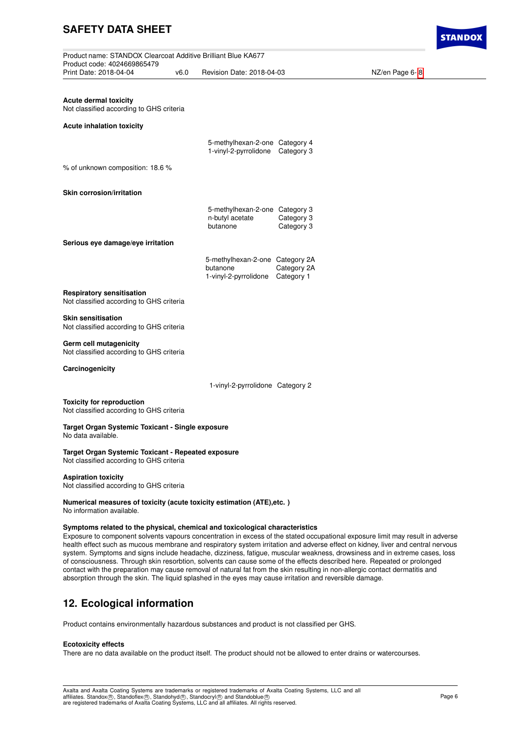Product name: STANDOX Clearcoat Additive Brilliant Blue KA677 Product code: 4024669865479 v6.0 Revision Date: 2018-04-03 NZ/en Page 6- [8](#page-7-0)

**Acute dermal toxicity** Not classified according to GHS criteria

**Acute inhalation toxicity**

|  | 5-methylhexan-2-one Category 4<br>1-vinyl-2-pyrrolidone Category 3 |  |
|--|--------------------------------------------------------------------|--|
|  |                                                                    |  |

% of unknown composition: 18.6 %

**Skin corrosion/irritation**

|                 | 5-methylhexan-2-one Category 3 |
|-----------------|--------------------------------|
| n-butyl acetate | Category 3                     |
| butanone        | Category 3                     |
|                 |                                |

**Serious eye damage/eye irritation**

| 5-methylhexan-2-one Category 2A |             |
|---------------------------------|-------------|
| butanone                        | Category 2A |
| 1-vinyl-2-pyrrolidone           | Category 1  |

# **Respiratory sensitisation**

Not classified according to GHS criteria

## **Skin sensitisation**

Not classified according to GHS criteria

## **Germ cell mutagenicity**

Not classified according to GHS criteria

**Carcinogenicity**

1-vinyl-2-pyrrolidone Category 2

#### **Toxicity for reproduction** Not classified according to GHS criteria

#### **Target Organ Systemic Toxicant - Single exposure** No data available.

**Target Organ Systemic Toxicant - Repeated exposure** Not classified according to GHS criteria

**Aspiration toxicity**

Not classified according to GHS criteria

#### **Numerical measures of toxicity (acute toxicity estimation (ATE),etc. )** No information available.

## **Symptoms related to the physical, chemical and toxicological characteristics**

Exposure to component solvents vapours concentration in excess of the stated occupational exposure limit may result in adverse health effect such as mucous membrane and respiratory system irritation and adverse effect on kidney, liver and central nervous system. Symptoms and signs include headache, dizziness, fatigue, muscular weakness, drowsiness and in extreme cases, loss of consciousness. Through skin resorbtion, solvents can cause some of the effects described here. Repeated or prolonged contact with the preparation may cause removal of natural fat from the skin resulting in non-allergic contact dermatitis and absorption through the skin. The liquid splashed in the eyes may cause irritation and reversible damage.

# **12. Ecological information**

Product contains environmentally hazardous substances and product is not classified per GHS.

### **Ecotoxicity effects**

There are no data available on the product itself. The product should not be allowed to enter drains or watercourses.

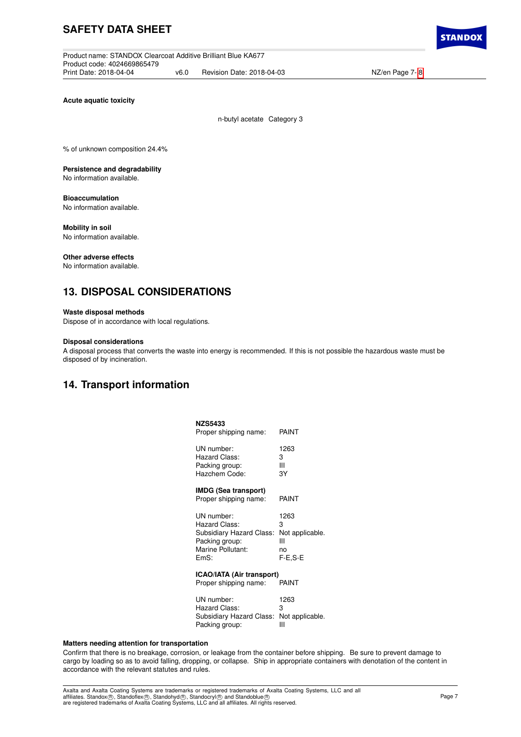Product name: STANDOX Clearcoat Additive Brilliant Blue KA677 Product code: 4024669865479 v6.0 Revision Date: 2018-04-03 NZ/en Page 7- [8](#page-7-0)

**Acute aquatic toxicity**

n-butyl acetate Category 3

% of unknown composition 24.4%

**Persistence and degradability** No information available.

**Bioaccumulation** No information available.

**Mobility in soil** No information available.

**Other adverse effects**

No information available.

# **13. DISPOSAL CONSIDERATIONS**

# **Waste disposal methods**

Dispose of in accordance with local regulations.

## **Disposal considerations**

A disposal process that converts the waste into energy is recommended. If this is not possible the hazardous waste must be disposed of by incineration.

# **14. Transport information**

| PAINT                                                         |
|---------------------------------------------------------------|
| 1263<br>3<br>Ш<br>3Y                                          |
| PAINT                                                         |
| 1263<br>3<br>Not applicable.<br>Ш<br>no<br>F-E.S-E            |
| <b>ICAO/IATA (Air transport)</b><br>PAINT                     |
| 1263<br>3<br>Subsidiary Hazard Class:<br>Not applicable.<br>Ш |
|                                                               |

## **Matters needing attention for transportation**

Confirm that there is no breakage, corrosion, or leakage from the container before shipping. Be sure to prevent damage to cargo by loading so as to avoid falling, dropping, or collapse. Ship in appropriate containers with denotation of the content in accordance with the relevant statutes and rules.